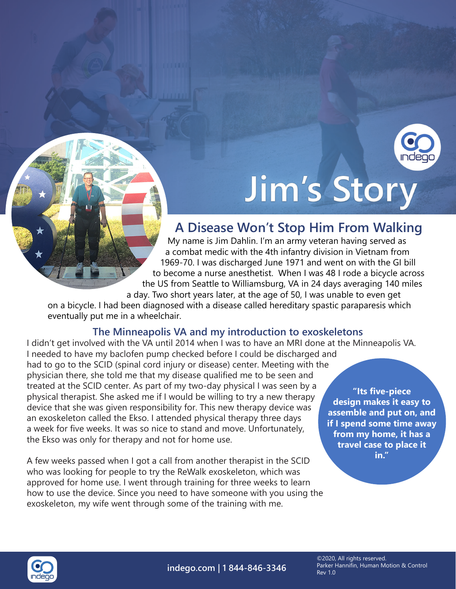

## Jim's Story

## **A Disease Won't Stop Him From Walking**

My name is Jim Dahlin. I'm an army veteran having served as a combat medic with the 4th infantry division in Vietnam from 1969-70. I was discharged June 1971 and went on with the GI bill to become a nurse anesthetist. When I was 48 I rode a bicycle across the US from Seattle to Williamsburg, VA in 24 days averaging 140 miles a day. Two short years later, at the age of 50, I was unable to even get

on a bicycle. I had been diagnosed with a disease called hereditary spastic paraparesis which eventually put me in a wheelchair.

## **The Minneapolis VA and my introduction to exoskeletons**

I didn't get involved with the VA until 2014 when I was to have an MRI done at the Minneapolis VA. I needed to have my baclofen pump checked before I could be discharged and had to go to the SCID (spinal cord injury or disease) center. Meeting with the physician there, she told me that my disease qualified me to be seen and treated at the SCID center. As part of my two-day physical I was seen by a physical therapist. She asked me if I would be willing to try a new therapy device that she was given responsibility for. This new therapy device was an exoskeleton called the Ekso. I attended physical therapy three days a week for five weeks. It was so nice to stand and move. Unfortunately, the Ekso was only for therapy and not for home use.

A few weeks passed when I got a call from another therapist in the SCID who was looking for people to try the ReWalk exoskeleton, which was approved for home use. I went through training for three weeks to learn how to use the device. Since you need to have someone with you using the exoskeleton, my wife went through some of the training with me.

**"Its five-piece design makes it easy to assemble and put on, and if I spend some time away from my home, it has a travel case to place it in."**



**indego.com | 1 844-846-3346**